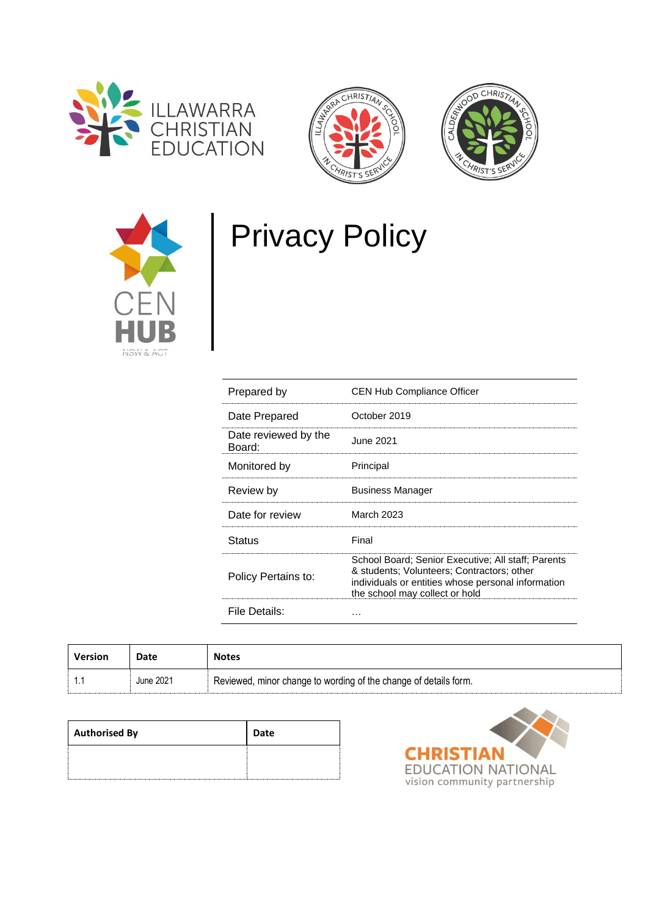







# Privacy Policy

| Prepared by          | <b>CEN Hub Compliance Officer</b>                                                                                                                                                        |
|----------------------|------------------------------------------------------------------------------------------------------------------------------------------------------------------------------------------|
| Date Prepared        | October 2019                                                                                                                                                                             |
| Date reviewed by the | June 2021                                                                                                                                                                                |
| Board:               | Principal                                                                                                                                                                                |
| Monitored by         |                                                                                                                                                                                          |
| Review by            | <b>Business Manager</b>                                                                                                                                                                  |
| Date for review      | March 2023                                                                                                                                                                               |
| Status               | Final                                                                                                                                                                                    |
| Policy Pertains to:  | School Board; Senior Executive; All staff; Parents<br>& students; Volunteers; Contractors; other<br>individuals or entities whose personal information<br>the school may collect or hold |
| File Details:        |                                                                                                                                                                                          |

| Version | Date      | <b>Notes</b>                                                     |
|---------|-----------|------------------------------------------------------------------|
|         | June 2021 | Reviewed, minor change to wording of the change of details form. |

| <b>Authorised By</b> | Date |
|----------------------|------|
|                      |      |

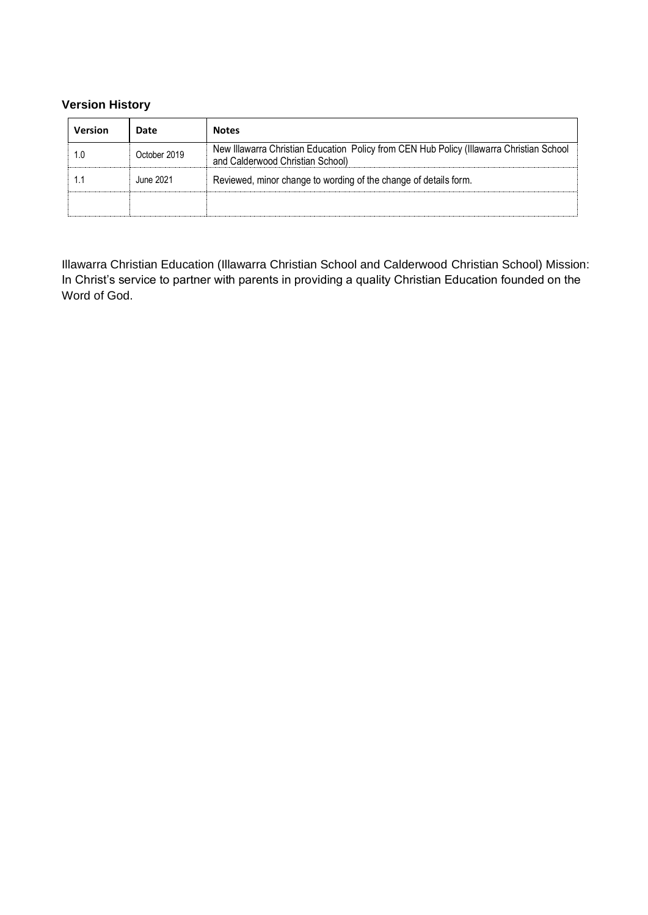## **Version History**

| Version | Date         | <b>Notes</b>                                                                                                                 |
|---------|--------------|------------------------------------------------------------------------------------------------------------------------------|
|         | October 2019 | New Illawarra Christian Education Policy from CEN Hub Policy (Illawarra Christian School<br>and Calderwood Christian School) |
|         | June 2021    | Reviewed, minor change to wording of the change of details form.                                                             |
|         |              |                                                                                                                              |

Illawarra Christian Education (Illawarra Christian School and Calderwood Christian School) Mission: In Christ's service to partner with parents in providing a quality Christian Education founded on the Word of God.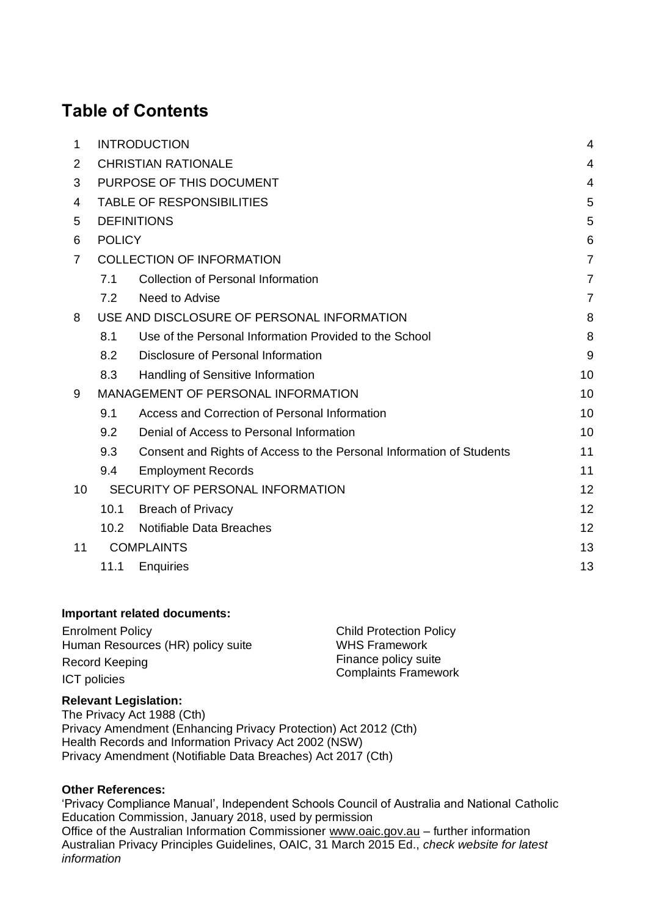## **Table of Contents**

| 1  | <b>INTRODUCTION</b>              |                                                                      |    |
|----|----------------------------------|----------------------------------------------------------------------|----|
| 2  | <b>CHRISTIAN RATIONALE</b>       |                                                                      |    |
| 3  | PURPOSE OF THIS DOCUMENT         |                                                                      | 4  |
| 4  | <b>TABLE OF RESPONSIBILITIES</b> |                                                                      |    |
| 5  | <b>DEFINITIONS</b>               |                                                                      |    |
| 6  | <b>POLICY</b>                    |                                                                      |    |
| 7  | <b>COLLECTION OF INFORMATION</b> |                                                                      | 7  |
|    | 7.1                              | <b>Collection of Personal Information</b>                            | 7  |
|    | 7.2                              | Need to Advise                                                       | 7  |
| 8  |                                  | USE AND DISCLOSURE OF PERSONAL INFORMATION                           | 8  |
|    | 8.1                              | Use of the Personal Information Provided to the School               | 8  |
|    | 8.2                              | Disclosure of Personal Information                                   | 9  |
|    | 8.3                              | Handling of Sensitive Information                                    | 10 |
| 9  |                                  | <b>MANAGEMENT OF PERSONAL INFORMATION</b>                            | 10 |
|    | 9.1                              | Access and Correction of Personal Information                        | 10 |
|    | 9.2                              | Denial of Access to Personal Information                             | 10 |
|    | 9.3                              | Consent and Rights of Access to the Personal Information of Students | 11 |
|    | 9.4                              | <b>Employment Records</b>                                            | 11 |
| 10 |                                  | SECURITY OF PERSONAL INFORMATION                                     | 12 |
|    | 10.1                             | <b>Breach of Privacy</b>                                             | 12 |
|    | 10.2                             | Notifiable Data Breaches                                             | 12 |
| 11 |                                  | <b>COMPLAINTS</b>                                                    | 13 |
|    | 11.1                             | <b>Enquiries</b>                                                     | 13 |

#### **Important related documents:**

| <b>Enrolment Policy</b>           | <b>Child Protection Policy</b> |  |
|-----------------------------------|--------------------------------|--|
| Human Resources (HR) policy suite | <b>WHS Framework</b>           |  |
| Record Keeping                    | Finance policy suite           |  |
| <b>ICT</b> policies               | <b>Complaints Framework</b>    |  |

#### **Relevant Legislation:**

The Privacy Act 1988 (Cth) Privacy Amendment (Enhancing Privacy Protection) Act 2012 (Cth) Health Records and Information Privacy Act 2002 (NSW) Privacy Amendment (Notifiable Data Breaches) Act 2017 (Cth)

#### **Other References:**

'Privacy Compliance Manual', Independent Schools Council of Australia and National Catholic Education Commission, January 2018, used by permission Office of the Australian Information Commissioner [www.oaic.gov.au](http://www.oaic.gov.au/) – further information Australian Privacy Principles Guidelines, OAIC, 31 March 2015 Ed., *check website for latest information*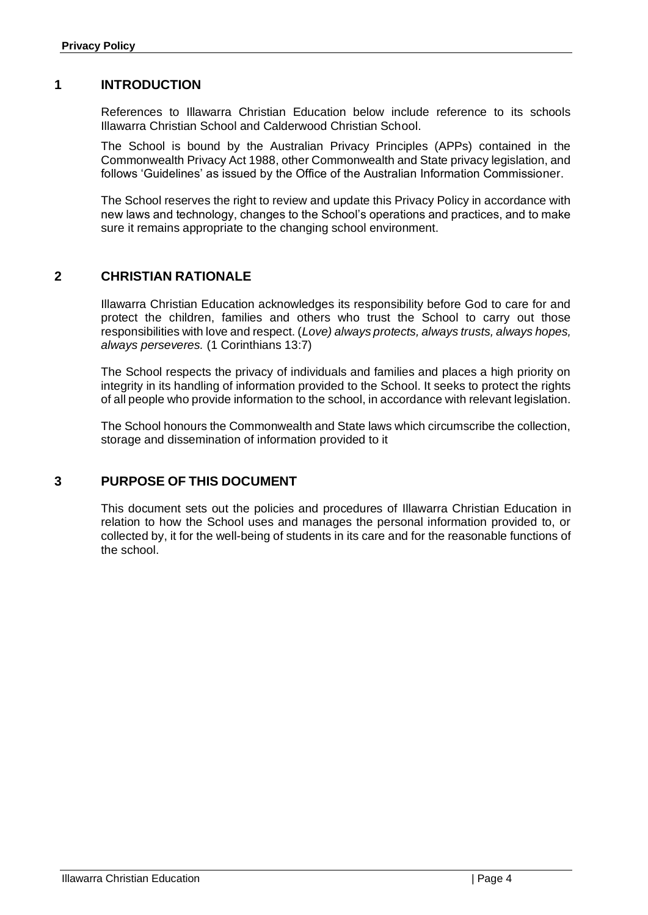#### <span id="page-3-0"></span>**1 INTRODUCTION**

References to Illawarra Christian Education below include reference to its schools Illawarra Christian School and Calderwood Christian School.

The School is bound by the Australian Privacy Principles (APPs) contained in the Commonwealth Privacy Act 1988, other Commonwealth and State privacy legislation, and follows 'Guidelines' as issued by the Office of the Australian Information Commissioner.

The School reserves the right to review and update this Privacy Policy in accordance with new laws and technology, changes to the School's operations and practices, and to make sure it remains appropriate to the changing school environment.

## <span id="page-3-1"></span>**2 CHRISTIAN RATIONALE**

Illawarra Christian Education acknowledges its responsibility before God to care for and protect the children, families and others who trust the School to carry out those responsibilities with love and respect. (*Love) always protects, always trusts, always hopes, always perseveres.* (1 Corinthians 13:7)

The School respects the privacy of individuals and families and places a high priority on integrity in its handling of information provided to the School. It seeks to protect the rights of all people who provide information to the school, in accordance with relevant legislation.

The School honours the Commonwealth and State laws which circumscribe the collection, storage and dissemination of information provided to it

## <span id="page-3-2"></span>**3 PURPOSE OF THIS DOCUMENT**

This document sets out the policies and procedures of Illawarra Christian Education in relation to how the School uses and manages the personal information provided to, or collected by, it for the well-being of students in its care and for the reasonable functions of the school.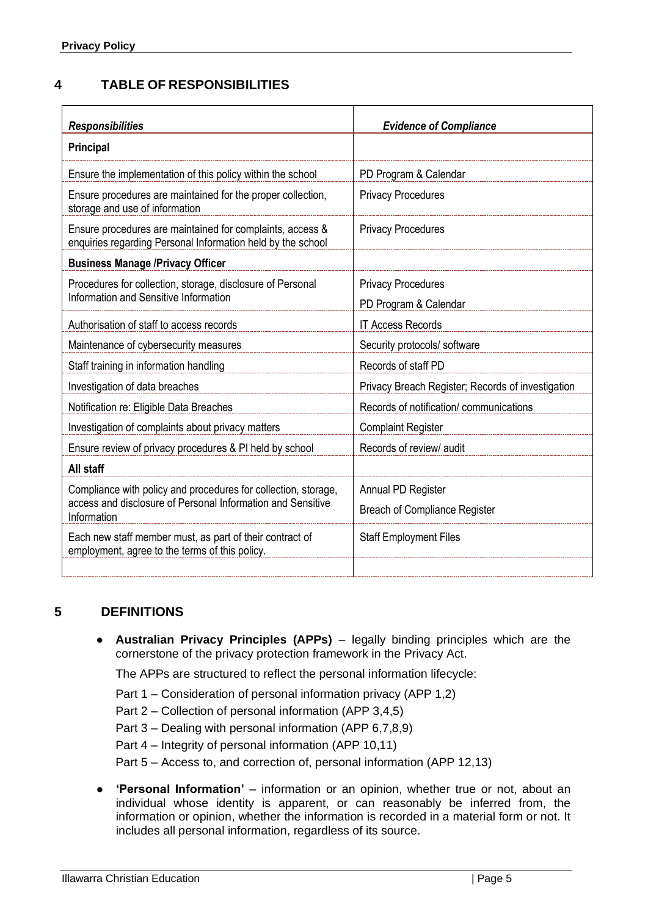## <span id="page-4-0"></span>**4 TABLE OF RESPONSIBILITIES**

| <b>Responsibilities</b>                                                                                                  | <b>Evidence of Compliance</b>                     |  |
|--------------------------------------------------------------------------------------------------------------------------|---------------------------------------------------|--|
| <b>Principal</b>                                                                                                         |                                                   |  |
| Ensure the implementation of this policy within the school                                                               | PD Program & Calendar                             |  |
| Ensure procedures are maintained for the proper collection,<br>storage and use of information                            | <b>Privacy Procedures</b>                         |  |
| Ensure procedures are maintained for complaints, access &<br>enquiries regarding Personal Information held by the school | <b>Privacy Procedures</b>                         |  |
| <b>Business Manage /Privacy Officer</b>                                                                                  |                                                   |  |
| Procedures for collection, storage, disclosure of Personal                                                               | <b>Privacy Procedures</b>                         |  |
| Information and Sensitive Information                                                                                    | PD Program & Calendar                             |  |
| Authorisation of staff to access records                                                                                 | <b>IT Access Records</b>                          |  |
| Maintenance of cybersecurity measures                                                                                    | Security protocols/ software                      |  |
| Staff training in information handling                                                                                   | Records of staff PD                               |  |
| Investigation of data breaches                                                                                           | Privacy Breach Register; Records of investigation |  |
| Notification re: Eligible Data Breaches                                                                                  | Records of notification/communications            |  |
| Investigation of complaints about privacy matters                                                                        | <b>Complaint Register</b>                         |  |
| Ensure review of privacy procedures & PI held by school                                                                  | Records of review/ audit                          |  |
| All staff                                                                                                                |                                                   |  |
| Compliance with policy and procedures for collection, storage,                                                           | Annual PD Register                                |  |
| access and disclosure of Personal Information and Sensitive<br>Information                                               | <b>Breach of Compliance Register</b>              |  |
| Each new staff member must, as part of their contract of<br>employment, agree to the terms of this policy.               | <b>Staff Employment Files</b>                     |  |
|                                                                                                                          |                                                   |  |

## <span id="page-4-1"></span>**5 DEFINITIONS**

● **Australian Privacy Principles (APPs)** – legally binding principles which are the cornerstone of the privacy protection framework in the Privacy Act.

The APPs are structured to reflect the personal information lifecycle:

- Part 1 Consideration of personal information privacy (APP 1,2)
- Part 2 Collection of personal information (APP 3,4,5)
- Part 3 Dealing with personal information (APP 6,7,8,9)
- Part 4 Integrity of personal information (APP 10,11)

Part 5 – Access to, and correction of, personal information (APP 12,13)

**'Personal Information'** – information or an opinion, whether true or not, about an individual whose identity is apparent, or can reasonably be inferred from, the information or opinion, whether the information is recorded in a material form or not. It includes all personal information, regardless of its source.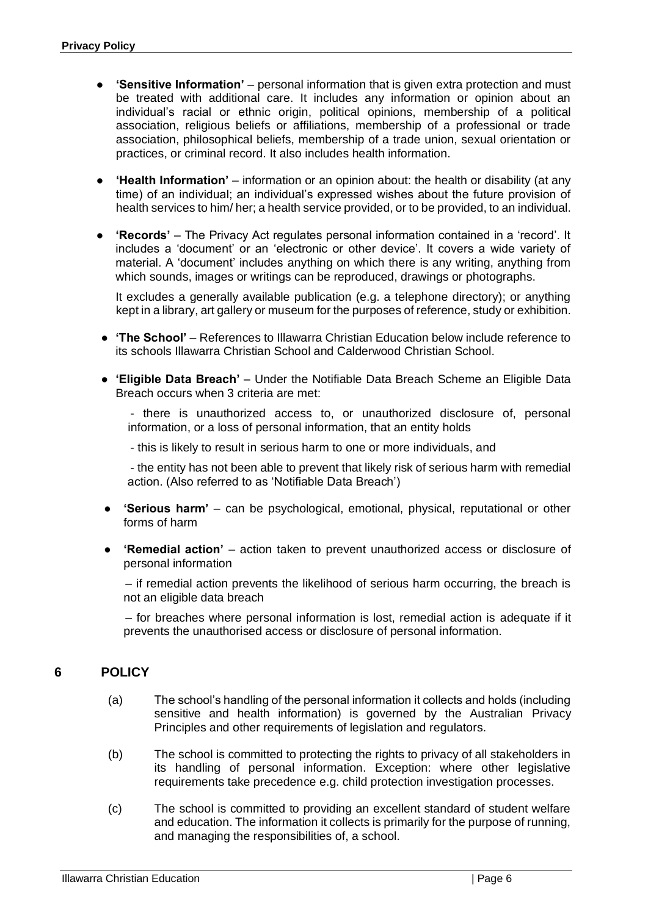- **'Sensitive Information'** personal information that is given extra protection and must be treated with additional care. It includes any information or opinion about an individual's racial or ethnic origin, political opinions, membership of a political association, religious beliefs or affiliations, membership of a professional or trade association, philosophical beliefs, membership of a trade union, sexual orientation or practices, or criminal record. It also includes health information.
- **'Health Information'** information or an opinion about: the health or disability (at any time) of an individual; an individual's expressed wishes about the future provision of health services to him/ her; a health service provided, or to be provided, to an individual.
- **'Records'** The Privacy Act regulates personal information contained in a 'record'. It includes a 'document' or an 'electronic or other device'. It covers a wide variety of material. A 'document' includes anything on which there is any writing, anything from which sounds, images or writings can be reproduced, drawings or photographs.

It excludes a generally available publication (e.g. a telephone directory); or anything kept in a library, art gallery or museum for the purposes of reference, study or exhibition.

- **'The School'** References to Illawarra Christian Education below include reference to its schools Illawarra Christian School and Calderwood Christian School.
- **'Eligible Data Breach'** Under the Notifiable Data Breach Scheme an Eligible Data Breach occurs when 3 criteria are met:

- there is unauthorized access to, or unauthorized disclosure of, personal information, or a loss of personal information, that an entity holds

- this is likely to result in serious harm to one or more individuals, and

- the entity has not been able to prevent that likely risk of serious harm with remedial action. (Also referred to as 'Notifiable Data Breach')

- **'Serious harm'** can be psychological, emotional, physical, reputational or other forms of harm
- **'Remedial action'**  action taken to prevent unauthorized access or disclosure of personal information

– if remedial action prevents the likelihood of serious harm occurring, the breach is not an eligible data breach

– for breaches where personal information is lost, remedial action is adequate if it prevents the unauthorised access or disclosure of personal information.

## <span id="page-5-0"></span>**6 POLICY**

- (a) The school's handling of the personal information it collects and holds (including sensitive and health information) is governed by the Australian Privacy Principles and other requirements of legislation and regulators.
- (b) The school is committed to protecting the rights to privacy of all stakeholders in its handling of personal information. Exception: where other legislative requirements take precedence e.g. child protection investigation processes.
- (c) The school is committed to providing an excellent standard of student welfare and education. The information it collects is primarily for the purpose of running, and managing the responsibilities of, a school.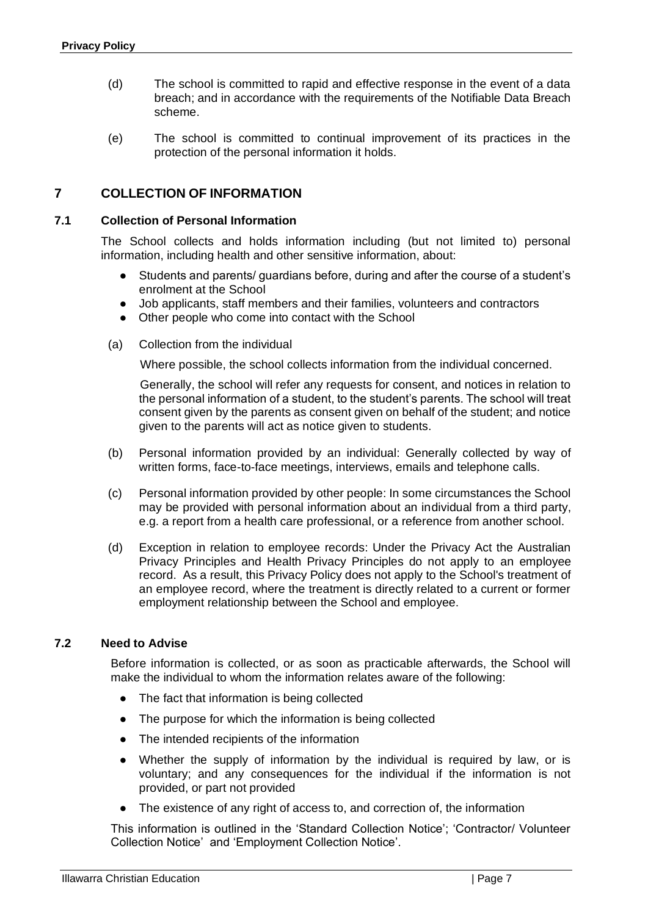- (d) The school is committed to rapid and effective response in the event of a data breach; and in accordance with the requirements of the Notifiable Data Breach scheme.
- (e) The school is committed to continual improvement of its practices in the protection of the personal information it holds.

## <span id="page-6-0"></span>**7 COLLECTION OF INFORMATION**

#### <span id="page-6-1"></span>**7.1 Collection of Personal Information**

The School collects and holds information including (but not limited to) personal information, including health and other sensitive information, about:

- Students and parents/ guardians before, during and after the course of a student's enrolment at the School
- Job applicants, staff members and their families, volunteers and contractors
- Other people who come into contact with the School
- (a) Collection from the individual

Where possible, the school collects information from the individual concerned.

Generally, the school will refer any requests for consent, and notices in relation to the personal information of a student, to the student's parents. The school will treat consent given by the parents as consent given on behalf of the student; and notice given to the parents will act as notice given to students.

- (b) Personal information provided by an individual: Generally collected by way of written forms, face-to-face meetings, interviews, emails and telephone calls.
- (c) Personal information provided by other people: In some circumstances the School may be provided with personal information about an individual from a third party, e.g. a report from a health care professional, or a reference from another school.
- (d) Exception in relation to employee records: Under the Privacy Act the Australian Privacy Principles and Health Privacy Principles do not apply to an employee record. As a result, this Privacy Policy does not apply to the School's treatment of an employee record, where the treatment is directly related to a current or former employment relationship between the School and employee.

#### <span id="page-6-2"></span>**7.2 Need to Advise**

Before information is collected, or as soon as practicable afterwards, the School will make the individual to whom the information relates aware of the following:

- The fact that information is being collected
- The purpose for which the information is being collected
- The intended recipients of the information
- Whether the supply of information by the individual is required by law, or is voluntary; and any consequences for the individual if the information is not provided, or part not provided
- The existence of any right of access to, and correction of, the information

This information is outlined in the 'Standard Collection Notice'; 'Contractor/ Volunteer Collection Notice' and 'Employment Collection Notice'.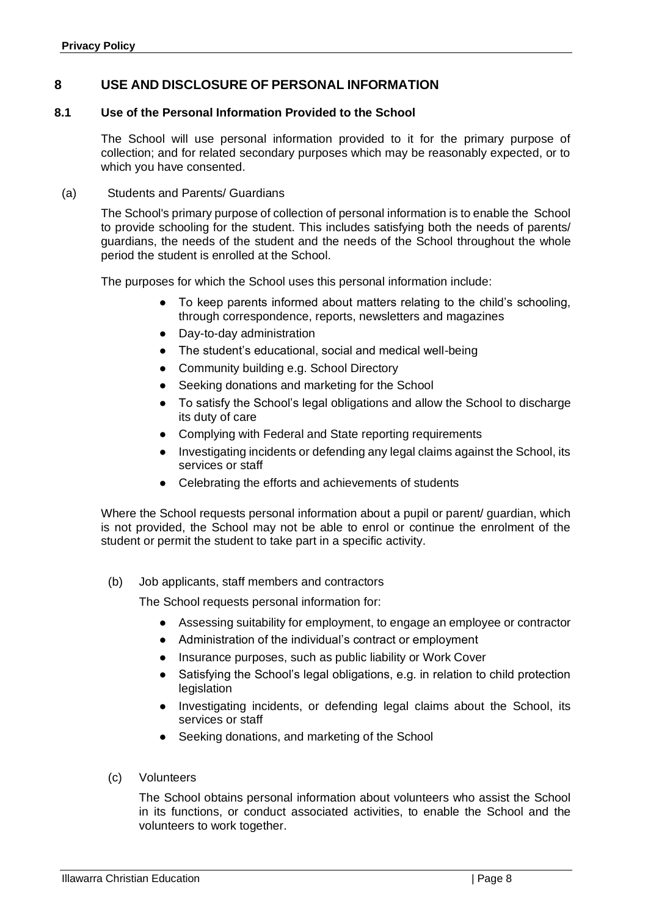## <span id="page-7-0"></span>**8 USE AND DISCLOSURE OF PERSONAL INFORMATION**

#### <span id="page-7-1"></span>**8.1 Use of the Personal Information Provided to the School**

The School will use personal information provided to it for the primary purpose of collection; and for related secondary purposes which may be reasonably expected, or to which you have consented.

#### (a) Students and Parents/ Guardians

The School's primary purpose of collection of personal information is to enable the School to provide schooling for the student. This includes satisfying both the needs of parents/ guardians, the needs of the student and the needs of the School throughout the whole period the student is enrolled at the School.

The purposes for which the School uses this personal information include:

- To keep parents informed about matters relating to the child's schooling, through correspondence, reports, newsletters and magazines
- Day-to-day administration
- The student's educational, social and medical well-being
- Community building e.g. School Directory
- Seeking donations and marketing for the School
- To satisfy the School's legal obligations and allow the School to discharge its duty of care
- Complying with Federal and State reporting requirements
- Investigating incidents or defending any legal claims against the School, its services or staff
- Celebrating the efforts and achievements of students

Where the School requests personal information about a pupil or parent/ guardian, which is not provided, the School may not be able to enrol or continue the enrolment of the student or permit the student to take part in a specific activity.

(b) Job applicants, staff members and contractors

The School requests personal information for:

- Assessing suitability for employment, to engage an employee or contractor
- Administration of the individual's contract or employment
- Insurance purposes, such as public liability or Work Cover
- Satisfying the School's legal obligations, e.g. in relation to child protection legislation
- Investigating incidents, or defending legal claims about the School, its services or staff
- Seeking donations, and marketing of the School
- (c) Volunteers

The School obtains personal information about volunteers who assist the School in its functions, or conduct associated activities, to enable the School and the volunteers to work together.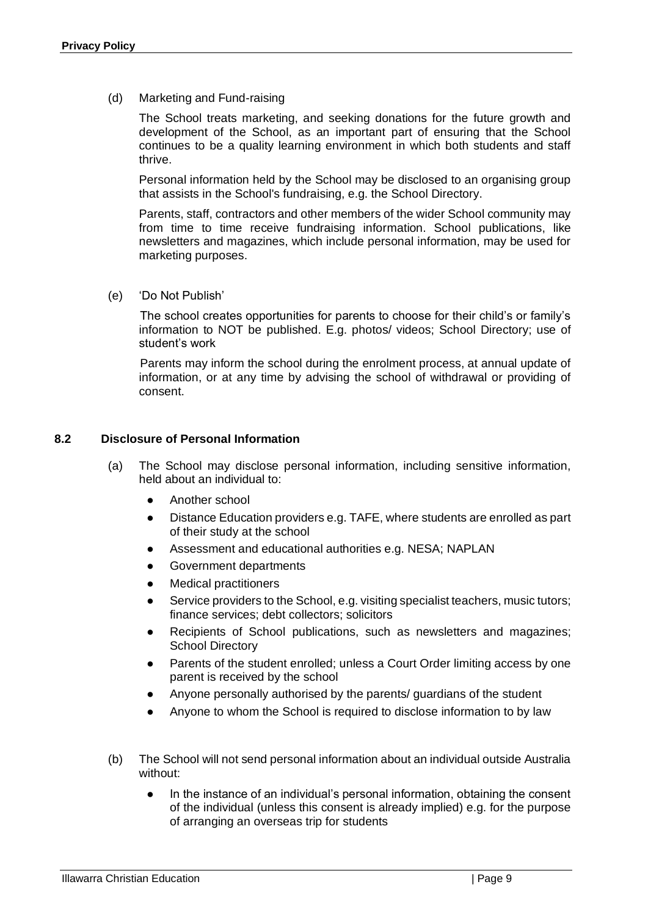(d) Marketing and Fund-raising

The School treats marketing, and seeking donations for the future growth and development of the School, as an important part of ensuring that the School continues to be a quality learning environment in which both students and staff thrive.

Personal information held by the School may be disclosed to an organising group that assists in the School's fundraising, e.g. the School Directory.

Parents, staff, contractors and other members of the wider School community may from time to time receive fundraising information. School publications, like newsletters and magazines, which include personal information, may be used for marketing purposes.

(e) 'Do Not Publish'

The school creates opportunities for parents to choose for their child's or family's information to NOT be published. E.g. photos/ videos; School Directory; use of student's work

Parents may inform the school during the enrolment process, at annual update of information, or at any time by advising the school of withdrawal or providing of consent.

#### <span id="page-8-0"></span>**8.2 Disclosure of Personal Information**

- (a) The School may disclose personal information, including sensitive information, held about an individual to:
	- Another school
	- Distance Education providers e.g. TAFE, where students are enrolled as part of their study at the school
	- Assessment and educational authorities e.g. NESA; NAPLAN
	- Government departments
	- Medical practitioners
	- Service providers to the School, e.g. visiting specialist teachers, music tutors; finance services; debt collectors; solicitors
	- Recipients of School publications, such as newsletters and magazines; School Directory
	- Parents of the student enrolled; unless a Court Order limiting access by one parent is received by the school
	- Anyone personally authorised by the parents/ guardians of the student
	- Anyone to whom the School is required to disclose information to by law
- (b) The School will not send personal information about an individual outside Australia without:
	- In the instance of an individual's personal information, obtaining the consent of the individual (unless this consent is already implied) e.g. for the purpose of arranging an overseas trip for students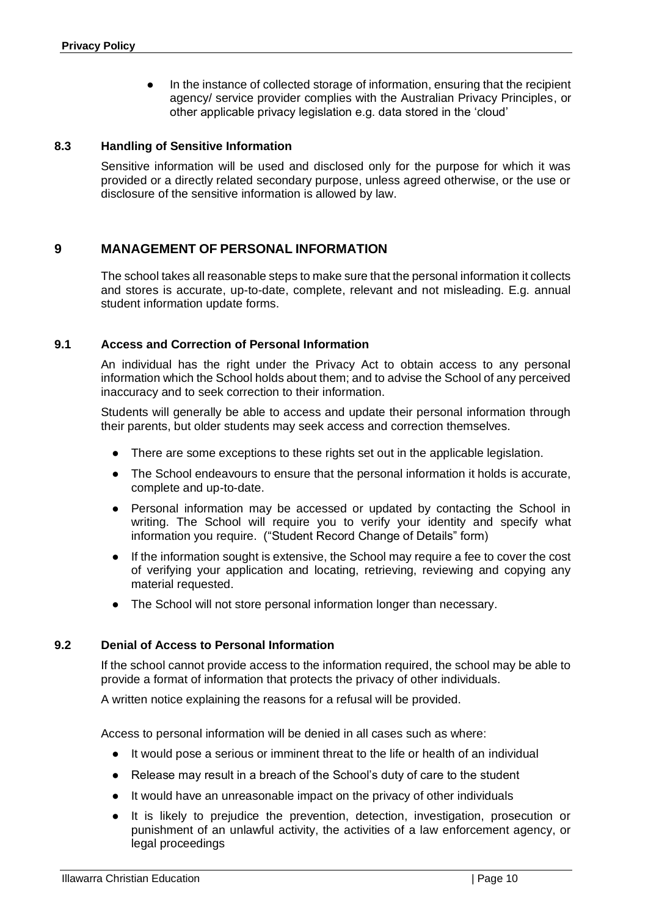● In the instance of collected storage of information, ensuring that the recipient agency/ service provider complies with the Australian Privacy Principles, or other applicable privacy legislation e.g. data stored in the 'cloud'

#### <span id="page-9-0"></span>**8.3 Handling of Sensitive Information**

Sensitive information will be used and disclosed only for the purpose for which it was provided or a directly related secondary purpose, unless agreed otherwise, or the use or disclosure of the sensitive information is allowed by law.

## <span id="page-9-1"></span>**9 MANAGEMENT OF PERSONAL INFORMATION**

The school takes all reasonable steps to make sure that the personal information it collects and stores is accurate, up-to-date, complete, relevant and not misleading. E.g. annual student information update forms.

#### <span id="page-9-2"></span>**9.1 Access and Correction of Personal Information**

An individual has the right under the Privacy Act to obtain access to any personal information which the School holds about them; and to advise the School of any perceived inaccuracy and to seek correction to their information.

Students will generally be able to access and update their personal information through their parents, but older students may seek access and correction themselves.

- There are some exceptions to these rights set out in the applicable legislation.
- The School endeavours to ensure that the personal information it holds is accurate, complete and up-to-date.
- Personal information may be accessed or updated by contacting the School in writing. The School will require you to verify your identity and specify what information you require. ("Student Record Change of Details" form)
- If the information sought is extensive, the School may require a fee to cover the cost of verifying your application and locating, retrieving, reviewing and copying any material requested.
- The School will not store personal information longer than necessary.

#### <span id="page-9-3"></span>**9.2 Denial of Access to Personal Information**

If the school cannot provide access to the information required, the school may be able to provide a format of information that protects the privacy of other individuals.

A written notice explaining the reasons for a refusal will be provided.

Access to personal information will be denied in all cases such as where:

- It would pose a serious or imminent threat to the life or health of an individual
- Release may result in a breach of the School's duty of care to the student
- It would have an unreasonable impact on the privacy of other individuals
- It is likely to prejudice the prevention, detection, investigation, prosecution or punishment of an unlawful activity, the activities of a law enforcement agency, or legal proceedings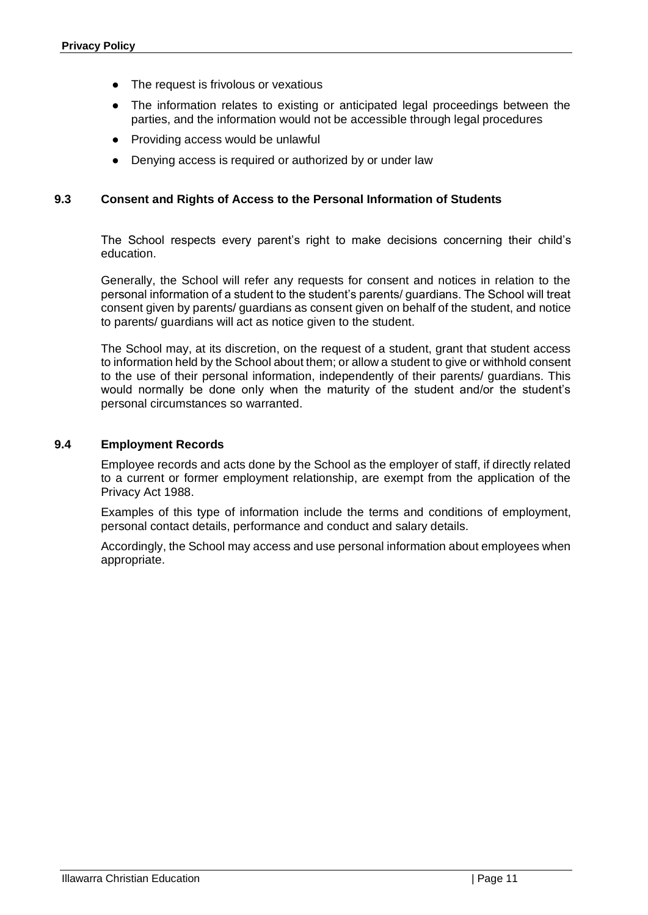- The request is frivolous or vexatious
- The information relates to existing or anticipated legal proceedings between the parties, and the information would not be accessible through legal procedures
- Providing access would be unlawful
- Denying access is required or authorized by or under law

#### <span id="page-10-0"></span>**9.3 Consent and Rights of Access to the Personal Information of Students**

The School respects every parent's right to make decisions concerning their child's education.

Generally, the School will refer any requests for consent and notices in relation to the personal information of a student to the student's parents/ guardians. The School will treat consent given by parents/ guardians as consent given on behalf of the student, and notice to parents/ guardians will act as notice given to the student.

The School may, at its discretion, on the request of a student, grant that student access to information held by the School about them; or allow a student to give or withhold consent to the use of their personal information, independently of their parents/ guardians. This would normally be done only when the maturity of the student and/or the student's personal circumstances so warranted.

#### <span id="page-10-1"></span>**9.4 Employment Records**

Employee records and acts done by the School as the employer of staff, if directly related to a current or former employment relationship, are exempt from the application of the Privacy Act 1988.

Examples of this type of information include the terms and conditions of employment, personal contact details, performance and conduct and salary details.

Accordingly, the School may access and use personal information about employees when appropriate.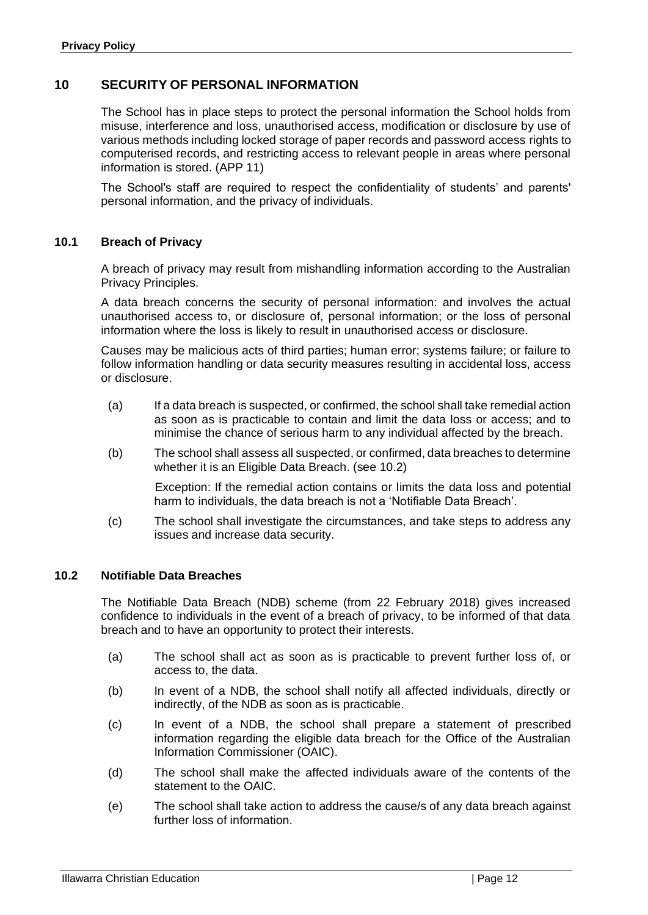## <span id="page-11-0"></span>**10 SECURITY OF PERSONAL INFORMATION**

The School has in place steps to protect the personal information the School holds from misuse, interference and loss, unauthorised access, modification or disclosure by use of various methods including locked storage of paper records and password access rights to computerised records, and restricting access to relevant people in areas where personal information is stored. (APP 11)

The School's staff are required to respect the confidentiality of students' and parents' personal information, and the privacy of individuals.

#### <span id="page-11-1"></span>**10.1 Breach of Privacy**

A breach of privacy may result from mishandling information according to the Australian Privacy Principles.

A data breach concerns the security of personal information: and involves the actual unauthorised access to, or disclosure of, personal information; or the loss of personal information where the loss is likely to result in unauthorised access or disclosure.

Causes may be malicious acts of third parties; human error; systems failure; or failure to follow information handling or data security measures resulting in accidental loss, access or disclosure.

- (a) If a data breach is suspected, or confirmed, the school shall take remedial action as soon as is practicable to contain and limit the data loss or access; and to minimise the chance of serious harm to any individual affected by the breach.
- (b) The school shall assess all suspected, or confirmed, data breaches to determine whether it is an Eligible Data Breach. (see 10.2)

Exception: If the remedial action contains or limits the data loss and potential harm to individuals, the data breach is not a 'Notifiable Data Breach'.

(c) The school shall investigate the circumstances, and take steps to address any issues and increase data security.

#### <span id="page-11-2"></span>**10.2 Notifiable Data Breaches**

The Notifiable Data Breach (NDB) scheme (from 22 February 2018) gives increased confidence to individuals in the event of a breach of privacy, to be informed of that data breach and to have an opportunity to protect their interests.

- (a) The school shall act as soon as is practicable to prevent further loss of, or access to, the data.
- (b) In event of a NDB, the school shall notify all affected individuals, directly or indirectly, of the NDB as soon as is practicable.
- (c) In event of a NDB, the school shall prepare a statement of prescribed information regarding the eligible data breach for the Office of the Australian Information Commissioner (OAIC).
- (d) The school shall make the affected individuals aware of the contents of the statement to the OAIC.
- (e) The school shall take action to address the cause/s of any data breach against further loss of information.